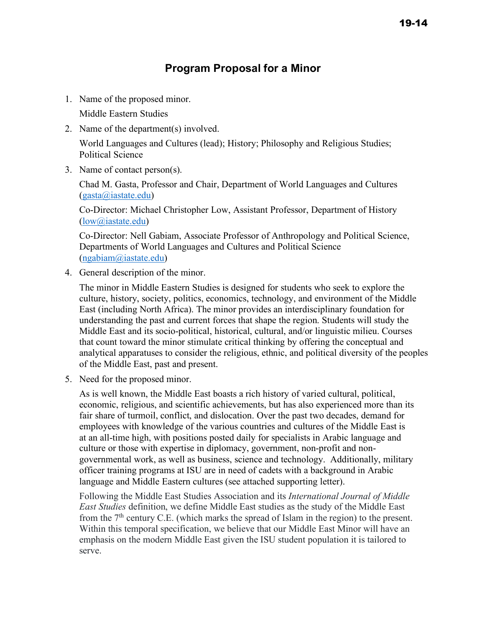# **Program Proposal for a Minor**

1. Name of the proposed minor.

Middle Eastern Studies

2. Name of the department(s) involved.

World Languages and Cultures (lead); History; Philosophy and Religious Studies; Political Science

3. Name of contact person(s).

Chad M. Gasta, Professor and Chair, Department of World Languages and Cultures (gasta@iastate.edu)

Co-Director: Michael Christopher Low, Assistant Professor, Department of History (low@iastate.edu)

Co-Director: Nell Gabiam, Associate Professor of Anthropology and Political Science, Departments of World Languages and Cultures and Political Science (ngabiam@iastate.edu)

4. General description of the minor.

The minor in Middle Eastern Studies is designed for students who seek to explore the culture, history, society, politics, economics, technology, and environment of the Middle East (including North Africa). The minor provides an interdisciplinary foundation for understanding the past and current forces that shape the region. Students will study the Middle East and its socio-political, historical, cultural, and/or linguistic milieu. Courses that count toward the minor stimulate critical thinking by offering the conceptual and analytical apparatuses to consider the religious, ethnic, and political diversity of the peoples of the Middle East, past and present.

5. Need for the proposed minor.

As is well known, the Middle East boasts a rich history of varied cultural, political, economic, religious, and scientific achievements, but has also experienced more than its fair share of turmoil, conflict, and dislocation. Over the past two decades, demand for employees with knowledge of the various countries and cultures of the Middle East is at an all-time high, with positions posted daily for specialists in Arabic language and culture or those with expertise in diplomacy, government, non-profit and nongovernmental work, as well as business, science and technology. Additionally, military officer training programs at ISU are in need of cadets with a background in Arabic language and Middle Eastern cultures (see attached supporting letter).

Following the Middle East Studies Association and its *International Journal of Middle East Studies* definition, we define Middle East studies as the study of the Middle East from the  $7<sup>th</sup>$  century C.E. (which marks the spread of Islam in the region) to the present. Within this temporal specification, we believe that our Middle East Minor will have an emphasis on the modern Middle East given the ISU student population it is tailored to serve.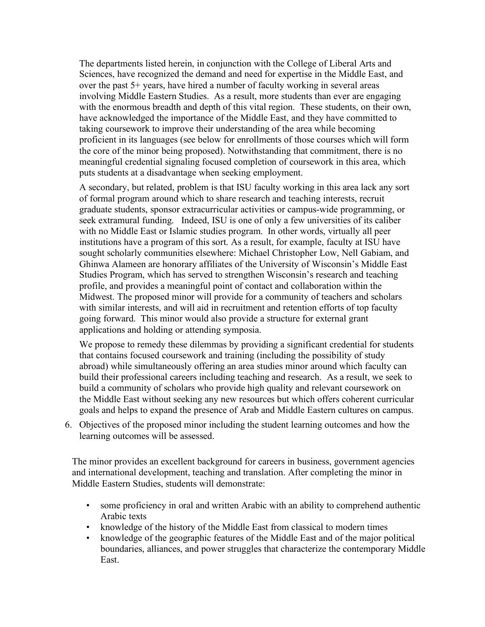The departments listed herein, in conjunction with the College of Liberal Arts and Sciences, have recognized the demand and need for expertise in the Middle East, and over the past 5+ years, have hired a number of faculty working in several areas involving Middle Eastern Studies. As a result, more students than ever are engaging with the enormous breadth and depth of this vital region. These students, on their own, have acknowledged the importance of the Middle East, and they have committed to taking coursework to improve their understanding of the area while becoming proficient in its languages (see below for enrollments of those courses which will form the core of the minor being proposed). Notwithstanding that commitment, there is no meaningful credential signaling focused completion of coursework in this area, which puts students at a disadvantage when seeking employment.

A secondary, but related, problem is that ISU faculty working in this area lack any sort of formal program around which to share research and teaching interests, recruit graduate students, sponsor extracurricular activities or campus-wide programming, or seek extramural funding. Indeed, ISU is one of only a few universities of its caliber with no Middle East or Islamic studies program. In other words, virtually all peer institutions have a program of this sort. As a result, for example, faculty at ISU have sought scholarly communities elsewhere: Michael Christopher Low, Nell Gabiam, and Ghinwa Alameen are honorary affiliates of the University of Wisconsin's Middle East Studies Program, which has served to strengthen Wisconsin's research and teaching profile, and provides a meaningful point of contact and collaboration within the Midwest. The proposed minor will provide for a community of teachers and scholars with similar interests, and will aid in recruitment and retention efforts of top faculty going forward. This minor would also provide a structure for external grant applications and holding or attending symposia.

We propose to remedy these dilemmas by providing a significant credential for students that contains focused coursework and training (including the possibility of study abroad) while simultaneously offering an area studies minor around which faculty can build their professional careers including teaching and research. As a result, we seek to build a community of scholars who provide high quality and relevant coursework on the Middle East without seeking any new resources but which offers coherent curricular goals and helps to expand the presence of Arab and Middle Eastern cultures on campus.

6. Objectives of the proposed minor including the student learning outcomes and how the learning outcomes will be assessed.

The minor provides an excellent background for careers in business, government agencies and international development, teaching and translation. After completing the minor in Middle Eastern Studies, students will demonstrate:

- some proficiency in oral and written Arabic with an ability to comprehend authentic Arabic texts
- knowledge of the history of the Middle East from classical to modern times
- knowledge of the geographic features of the Middle East and of the major political boundaries, alliances, and power struggles that characterize the contemporary Middle East.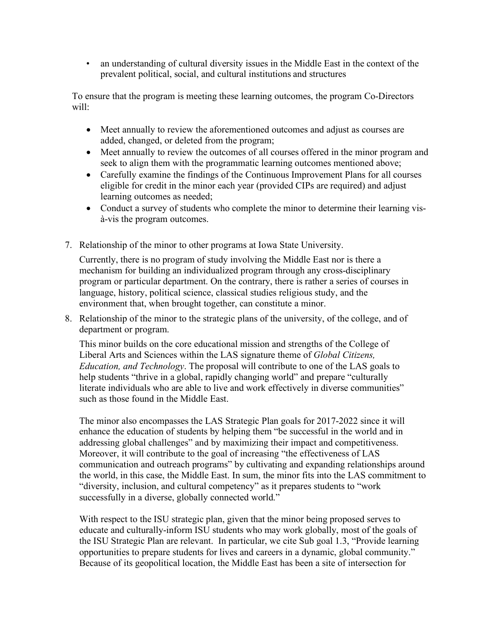• an understanding of cultural diversity issues in the Middle East in the context of the prevalent political, social, and cultural institutions and structures

To ensure that the program is meeting these learning outcomes, the program Co-Directors will:

- Meet annually to review the aforementioned outcomes and adjust as courses are added, changed, or deleted from the program;
- Meet annually to review the outcomes of all courses offered in the minor program and seek to align them with the programmatic learning outcomes mentioned above;
- Carefully examine the findings of the Continuous Improvement Plans for all courses eligible for credit in the minor each year (provided CIPs are required) and adjust learning outcomes as needed;
- Conduct a survey of students who complete the minor to determine their learning visà-vis the program outcomes.
- 7. Relationship of the minor to other programs at Iowa State University.

Currently, there is no program of study involving the Middle East nor is there a mechanism for building an individualized program through any cross-disciplinary program or particular department. On the contrary, there is rather a series of courses in language, history, political science, classical studies religious study, and the environment that, when brought together, can constitute a minor.

8. Relationship of the minor to the strategic plans of the university, of the college, and of department or program.

This minor builds on the core educational mission and strengths of the College of Liberal Arts and Sciences within the LAS signature theme of *Global Citizens, Education, and Technology*. The proposal will contribute to one of the LAS goals to help students "thrive in a global, rapidly changing world" and prepare "culturally literate individuals who are able to live and work effectively in diverse communities" such as those found in the Middle East.

The minor also encompasses the LAS Strategic Plan goals for 2017-2022 since it will enhance the education of students by helping them "be successful in the world and in addressing global challenges" and by maximizing their impact and competitiveness. Moreover, it will contribute to the goal of increasing "the effectiveness of LAS communication and outreach programs" by cultivating and expanding relationships around the world, in this case, the Middle East. In sum, the minor fits into the LAS commitment to "diversity, inclusion, and cultural competency" as it prepares students to "work successfully in a diverse, globally connected world."

With respect to the ISU strategic plan, given that the minor being proposed serves to educate and culturally-inform ISU students who may work globally, most of the goals of the ISU Strategic Plan are relevant. In particular, we cite Sub goal 1.3, "Provide learning opportunities to prepare students for lives and careers in a dynamic, global community." Because of its geopolitical location, the Middle East has been a site of intersection for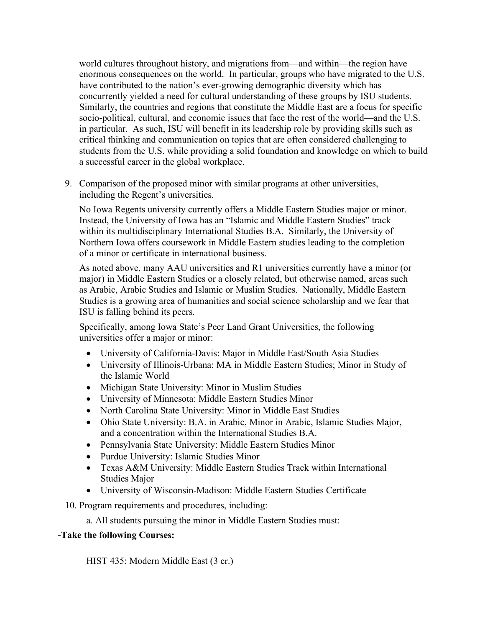world cultures throughout history, and migrations from—and within—the region have enormous consequences on the world. In particular, groups who have migrated to the U.S. have contributed to the nation's ever-growing demographic diversity which has concurrently yielded a need for cultural understanding of these groups by ISU students. Similarly, the countries and regions that constitute the Middle East are a focus for specific socio-political, cultural, and economic issues that face the rest of the world—and the U.S. in particular. As such, ISU will benefit in its leadership role by providing skills such as critical thinking and communication on topics that are often considered challenging to students from the U.S. while providing a solid foundation and knowledge on which to build a successful career in the global workplace.

9. Comparison of the proposed minor with similar programs at other universities, including the Regent's universities.

No Iowa Regents university currently offers a Middle Eastern Studies major or minor. Instead, the University of Iowa has an "Islamic and Middle Eastern Studies" track within its multidisciplinary International Studies B.A. Similarly, the University of Northern Iowa offers coursework in Middle Eastern studies leading to the completion of a minor or certificate in international business.

As noted above, many AAU universities and R1 universities currently have a minor (or major) in Middle Eastern Studies or a closely related, but otherwise named, areas such as Arabic, Arabic Studies and Islamic or Muslim Studies. Nationally, Middle Eastern Studies is a growing area of humanities and social science scholarship and we fear that ISU is falling behind its peers.

Specifically, among Iowa State's Peer Land Grant Universities, the following universities offer a major or minor:

- University of California-Davis: Major in Middle East/South Asia Studies
- University of Illinois-Urbana: MA in Middle Eastern Studies; Minor in Study of the Islamic World
- Michigan State University: Minor in Muslim Studies
- University of Minnesota: Middle Eastern Studies Minor
- North Carolina State University: Minor in Middle East Studies
- Ohio State University: B.A. in Arabic, Minor in Arabic, Islamic Studies Major, and a concentration within the International Studies B.A.
- Pennsylvania State University: Middle Eastern Studies Minor
- Purdue University: Islamic Studies Minor
- Texas A&M University: Middle Eastern Studies Track within International Studies Major
- University of Wisconsin-Madison: Middle Eastern Studies Certificate
- 10. Program requirements and procedures, including:
	- a. All students pursuing the minor in Middle Eastern Studies must:

## **-Take the following Courses:**

HIST 435: Modern Middle East (3 cr.)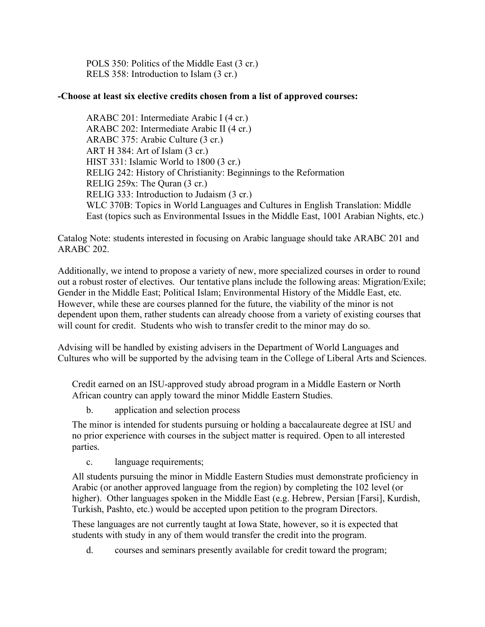POLS 350: Politics of the Middle East (3 cr.) RELS 358: Introduction to Islam (3 cr.)

## **-Choose at least six elective credits chosen from a list of approved courses:**

ARABC 201: Intermediate Arabic I (4 cr.) ARABC 202: Intermediate Arabic II (4 cr.) ARABC 375: Arabic Culture (3 cr.) ART H 384: Art of Islam (3 cr.) HIST 331: Islamic World to 1800 (3 cr.) RELIG 242: History of Christianity: Beginnings to the Reformation RELIG 259x: The Quran (3 cr.) RELIG 333: Introduction to Judaism (3 cr.) WLC 370B: Topics in World Languages and Cultures in English Translation: Middle East (topics such as Environmental Issues in the Middle East, 1001 Arabian Nights, etc.)

Catalog Note: students interested in focusing on Arabic language should take ARABC 201 and ARABC 202.

Additionally, we intend to propose a variety of new, more specialized courses in order to round out a robust roster of electives. Our tentative plans include the following areas: Migration/Exile; Gender in the Middle East; Political Islam; Environmental History of the Middle East, etc. However, while these are courses planned for the future, the viability of the minor is not dependent upon them, rather students can already choose from a variety of existing courses that will count for credit. Students who wish to transfer credit to the minor may do so.

Advising will be handled by existing advisers in the Department of World Languages and Cultures who will be supported by the advising team in the College of Liberal Arts and Sciences.

Credit earned on an ISU-approved study abroad program in a Middle Eastern or North African country can apply toward the minor Middle Eastern Studies.

b. application and selection process

The minor is intended for students pursuing or holding a baccalaureate degree at ISU and no prior experience with courses in the subject matter is required. Open to all interested parties.

c. language requirements;

All students pursuing the minor in Middle Eastern Studies must demonstrate proficiency in Arabic (or another approved language from the region) by completing the 102 level (or higher). Other languages spoken in the Middle East (e.g. Hebrew, Persian [Farsi], Kurdish, Turkish, Pashto, etc.) would be accepted upon petition to the program Directors.

These languages are not currently taught at Iowa State, however, so it is expected that students with study in any of them would transfer the credit into the program.

d. courses and seminars presently available for credit toward the program;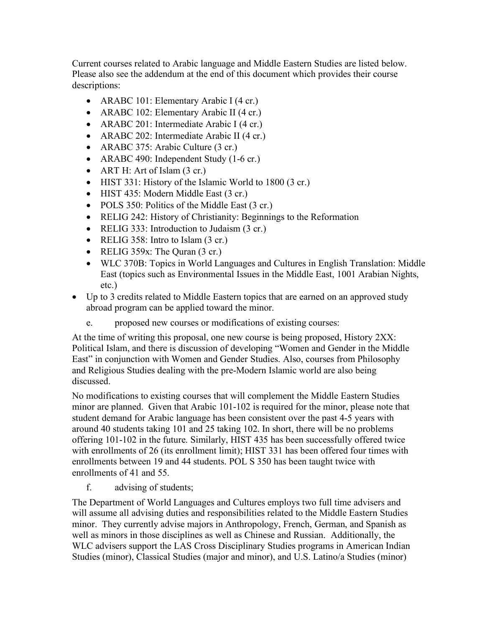Current courses related to Arabic language and Middle Eastern Studies are listed below. Please also see the addendum at the end of this document which provides their course descriptions:

- ARABC 101: Elementary Arabic I (4 cr.)
- ARABC 102: Elementary Arabic II (4 cr.)
- ARABC 201: Intermediate Arabic I (4 cr.)
- ARABC 202: Intermediate Arabic II (4 cr.)
- ARABC 375: Arabic Culture (3 cr.)
- ARABC 490: Independent Study (1-6 cr.)
- ART H: Art of Islam  $(3 \text{ cr.})$
- HIST 331: History of the Islamic World to 1800 (3 cr.)
- HIST 435: Modern Middle East (3 cr.)
- POLS 350: Politics of the Middle East (3 cr.)
- RELIG 242: History of Christianity: Beginnings to the Reformation
- RELIG 333: Introduction to Judaism (3 cr.)
- RELIG 358: Intro to Islam (3 cr.)
- RELIG 359x: The Quran (3 cr.)
- WLC 370B: Topics in World Languages and Cultures in English Translation: Middle East (topics such as Environmental Issues in the Middle East, 1001 Arabian Nights, etc.)
- Up to 3 credits related to Middle Eastern topics that are earned on an approved study abroad program can be applied toward the minor.
	- e. proposed new courses or modifications of existing courses:

At the time of writing this proposal, one new course is being proposed, History 2XX: Political Islam, and there is discussion of developing "Women and Gender in the Middle East" in conjunction with Women and Gender Studies. Also, courses from Philosophy and Religious Studies dealing with the pre-Modern Islamic world are also being discussed.

No modifications to existing courses that will complement the Middle Eastern Studies minor are planned. Given that Arabic 101-102 is required for the minor, please note that student demand for Arabic language has been consistent over the past 4-5 years with around 40 students taking 101 and 25 taking 102. In short, there will be no problems offering 101-102 in the future. Similarly, HIST 435 has been successfully offered twice with enrollments of 26 (its enrollment limit); HIST 331 has been offered four times with enrollments between 19 and 44 students. POL S 350 has been taught twice with enrollments of 41 and 55.

f. advising of students;

The Department of World Languages and Cultures employs two full time advisers and will assume all advising duties and responsibilities related to the Middle Eastern Studies minor. They currently advise majors in Anthropology, French, German, and Spanish as well as minors in those disciplines as well as Chinese and Russian. Additionally, the WLC advisers support the LAS Cross Disciplinary Studies programs in American Indian Studies (minor), Classical Studies (major and minor), and U.S. Latino/a Studies (minor)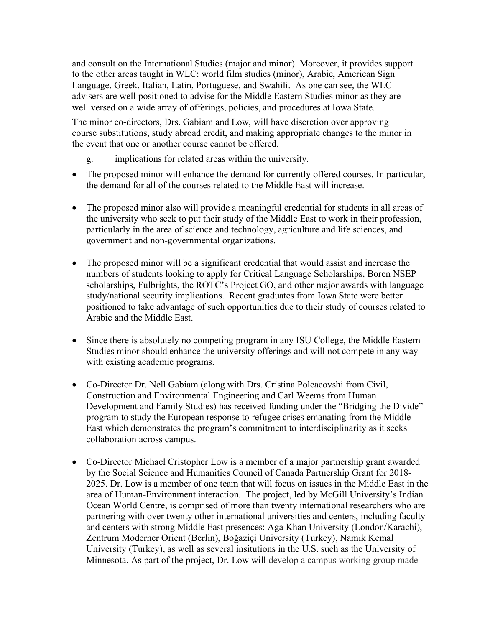and consult on the International Studies (major and minor). Moreover, it provides support to the other areas taught in WLC: world film studies (minor), Arabic, American Sign Language, Greek, Italian, Latin, Portuguese, and Swahili. As one can see, the WLC advisers are well positioned to advise for the Middle Eastern Studies minor as they are well versed on a wide array of offerings, policies, and procedures at Iowa State.

The minor co-directors, Drs. Gabiam and Low, will have discretion over approving course substitutions, study abroad credit, and making appropriate changes to the minor in the event that one or another course cannot be offered.

- g. implications for related areas within the university.
- The proposed minor will enhance the demand for currently offered courses. In particular, the demand for all of the courses related to the Middle East will increase.
- The proposed minor also will provide a meaningful credential for students in all areas of the university who seek to put their study of the Middle East to work in their profession, particularly in the area of science and technology, agriculture and life sciences, and government and non-governmental organizations.
- The proposed minor will be a significant credential that would assist and increase the numbers of students looking to apply for Critical Language Scholarships, Boren NSEP scholarships, Fulbrights, the ROTC's Project GO, and other major awards with language study/national security implications. Recent graduates from Iowa State were better positioned to take advantage of such opportunities due to their study of courses related to Arabic and the Middle East.
- Since there is absolutely no competing program in any ISU College, the Middle Eastern Studies minor should enhance the university offerings and will not compete in any way with existing academic programs.
- Co-Director Dr. Nell Gabiam (along with Drs. Cristina Poleacovshi from Civil, Construction and Environmental Engineering and Carl Weems from Human Development and Family Studies) has received funding under the "Bridging the Divide" program to study the European response to refugee crises emanating from the Middle East which demonstrates the program's commitment to interdisciplinarity as it seeks collaboration across campus.
- Co-Director Michael Cristopher Low is a member of a major partnership grant awarded by the Social Science and Humanities Council of Canada Partnership Grant for 2018- 2025. Dr. Low is a member of one team that will focus on issues in the Middle East in the area of Human-Environment interaction. The project, led by McGill University's Indian Ocean World Centre, is comprised of more than twenty international researchers who are partnering with over twenty other international universities and centers, including faculty and centers with strong Middle East presences: Aga Khan University (London/Karachi), Zentrum Moderner Orient (Berlin), Boğaziçi University (Turkey), Namık Kemal University (Turkey), as well as several insitutions in the U.S. such as the University of Minnesota. As part of the project, Dr. Low will develop a campus working group made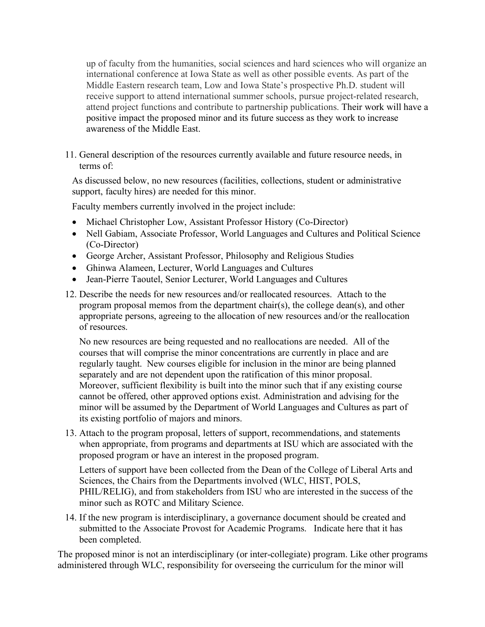up of faculty from the humanities, social sciences and hard sciences who will organize an international conference at Iowa State as well as other possible events. As part of the Middle Eastern research team, Low and Iowa State's prospective Ph.D. student will receive support to attend international summer schools, pursue project-related research, attend project functions and contribute to partnership publications. Their work will have a positive impact the proposed minor and its future success as they work to increase awareness of the Middle East.

11. General description of the resources currently available and future resource needs, in terms of:

As discussed below, no new resources (facilities, collections, student or administrative support, faculty hires) are needed for this minor.

Faculty members currently involved in the project include:

- Michael Christopher Low, Assistant Professor History (Co-Director)
- Nell Gabiam, Associate Professor, World Languages and Cultures and Political Science (Co-Director)
- George Archer, Assistant Professor, Philosophy and Religious Studies
- Ghinwa Alameen, Lecturer, World Languages and Cultures
- Jean-Pierre Taoutel, Senior Lecturer, World Languages and Cultures
- 12. Describe the needs for new resources and/or reallocated resources. Attach to the program proposal memos from the department chair(s), the college dean(s), and other appropriate persons, agreeing to the allocation of new resources and/or the reallocation of resources.

No new resources are being requested and no reallocations are needed. All of the courses that will comprise the minor concentrations are currently in place and are regularly taught. New courses eligible for inclusion in the minor are being planned separately and are not dependent upon the ratification of this minor proposal. Moreover, sufficient flexibility is built into the minor such that if any existing course cannot be offered, other approved options exist. Administration and advising for the minor will be assumed by the Department of World Languages and Cultures as part of its existing portfolio of majors and minors.

13. Attach to the program proposal, letters of support, recommendations, and statements when appropriate, from programs and departments at ISU which are associated with the proposed program or have an interest in the proposed program.

Letters of support have been collected from the Dean of the College of Liberal Arts and Sciences, the Chairs from the Departments involved (WLC, HIST, POLS, PHIL/RELIG), and from stakeholders from ISU who are interested in the success of the minor such as ROTC and Military Science.

14. If the new program is interdisciplinary, a governance document should be created and submitted to the Associate Provost for Academic Programs. Indicate here that it has been completed.

The proposed minor is not an interdisciplinary (or inter-collegiate) program. Like other programs administered through WLC, responsibility for overseeing the curriculum for the minor will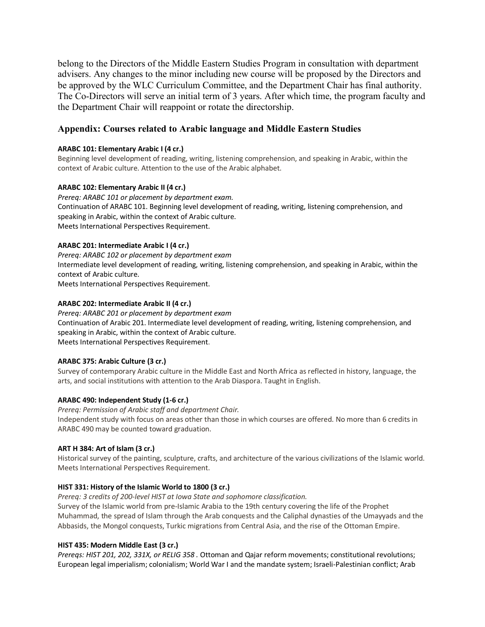belong to the Directors of the Middle Eastern Studies Program in consultation with department advisers. Any changes to the minor including new course will be proposed by the Directors and be approved by the WLC Curriculum Committee, and the Department Chair has final authority. The Co-Directors will serve an initial term of 3 years. After which time, the program faculty and the Department Chair will reappoint or rotate the directorship.

## **Appendix: Courses related to Arabic language and Middle Eastern Studies**

## **ARABC 101: Elementary Arabic I (4 cr.)**

Beginning level development of reading, writing, listening comprehension, and speaking in Arabic, within the context of Arabic culture. Attention to the use of the Arabic alphabet.

## **ARABC 102: Elementary Arabic II (4 cr.)**

*Prereq: ARABC 101 or placement by department exam.* Continuation of ARABC 101. Beginning level development of reading, writing, listening comprehension, and speaking in Arabic, within the context of Arabic culture. Meets International Perspectives Requirement.

## **ARABC 201: Intermediate Arabic I (4 cr.)**

*Prereq: ARABC 102 or placement by department exam* Intermediate level development of reading, writing, listening comprehension, and speaking in Arabic, within the context of Arabic culture.

Meets International Perspectives Requirement.

## **ARABC 202: Intermediate Arabic II (4 cr.)**

*Prereq: ARABC 201 or placement by department exam* Continuation of Arabic 201. Intermediate level development of reading, writing, listening comprehension, and speaking in Arabic, within the context of Arabic culture. Meets International Perspectives Requirement.

## **ARABC 375: Arabic Culture (3 cr.)**

Survey of contemporary Arabic culture in the Middle East and North Africa as reflected in history, language, the arts, and social institutions with attention to the Arab Diaspora. Taught in English.

## **ARABC 490: Independent Study (1-6 cr.)**

*Prereq: Permission of Arabic staff and department Chair.* Independent study with focus on areas other than those in which courses are offered. No more than 6 credits in ARABC 490 may be counted toward graduation.

## **ART H 384: Art of Islam (3 cr.)**

Historical survey of the painting, sculpture, crafts, and architecture of the various civilizations of the Islamic world. Meets International Perspectives Requirement.

## **HIST 331: History of the Islamic World to 1800 (3 cr.)**

*Prereq: 3 credits of 200-level HIST at Iowa State and sophomore classification.*

Survey of the Islamic world from pre-Islamic Arabia to the 19th century covering the life of the Prophet Muhammad, the spread of Islam through the Arab conquests and the Caliphal dynasties of the Umayyads and the Abbasids, the Mongol conquests, Turkic migrations from Central Asia, and the rise of the Ottoman Empire.

## **HIST 435: Modern Middle East (3 cr.)**

*Prereqs: HIST 201, 202, 331X, or RELIG 358 .* Ottoman and Qajar reform movements; constitutional revolutions; European legal imperialism; colonialism; World War I and the mandate system; Israeli-Palestinian conflict; Arab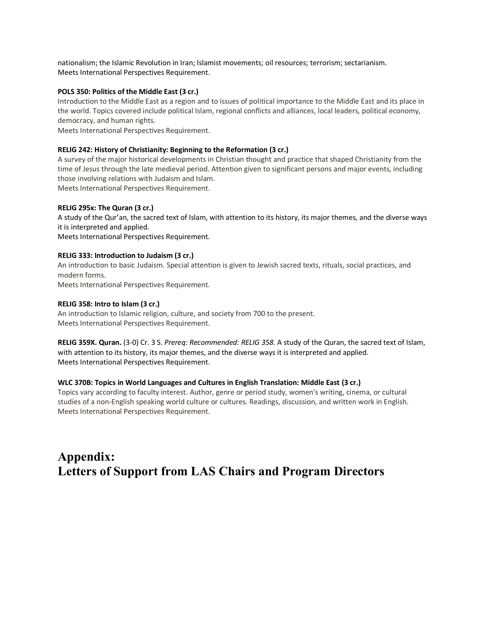nationalism; the Islamic Revolution in Iran; Islamist movements; oil resources; terrorism; sectarianism. Meets International Perspectives Requirement.

#### **POLS 350: Politics of the Middle East (3 cr.)**

Introduction to the Middle East as a region and to issues of political importance to the Middle East and its place in the world. Topics covered include political Islam, regional conflicts and alliances, local leaders, political economy, democracy, and human rights.

Meets International Perspectives Requirement.

#### **RELIG 242: History of Christianity: Beginning to the Reformation (3 cr.)**

A survey of the major historical developments in Christian thought and practice that shaped Christianity from the time of Jesus through the late medieval period. Attention given to significant persons and major events, including those involving relations with Judaism and Islam.

Meets International Perspectives Requirement.

#### **RELIG 295x: The Quran (3 cr.)**

A study of the Qur'an, the sacred text of Islam, with attention to its history, its major themes, and the diverse ways it is interpreted and applied.

Meets International Perspectives Requirement.

#### **RELIG 333: Introduction to Judaism (3 cr.)**

An introduction to basic Judaism. Special attention is given to Jewish sacred texts, rituals, social practices, and modern forms.

Meets International Perspectives Requirement.

#### **RELIG 358: Intro to Islam (3 cr.)**

An introduction to Islamic religion, culture, and society from 700 to the present. Meets International Perspectives Requirement.

**RELIG 359X. Quran.** (3-0) Cr. 3 S. *Prereq: Recommended: RELIG 358.* A study of the Quran, the sacred text of Islam, with attention to its history, its major themes, and the diverse ways it is interpreted and applied. Meets International Perspectives Requirement.

### **WLC 370B: Topics in World Languages and Cultures in English Translation: Middle East (3 cr.)**

Topics vary according to faculty interest. Author, genre or period study, women's writing, cinema, or cultural studies of a non-English speaking world culture or cultures. Readings, discussion, and written work in English. Meets International Perspectives Requirement.

# **Appendix: Letters of Support from LAS Chairs and Program Directors**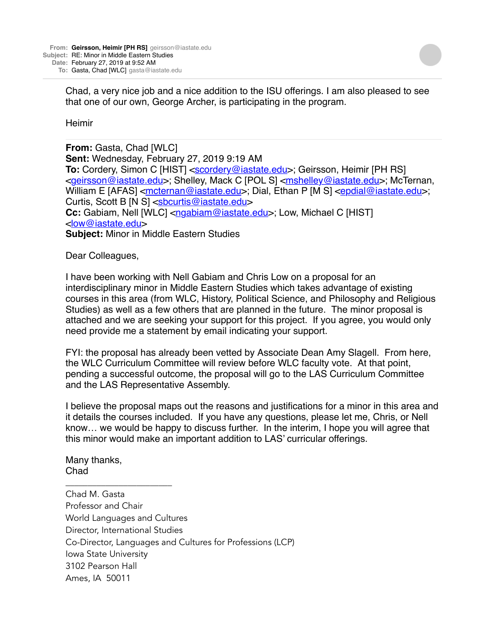Chad, a very nice job and a nice addition to the ISU offerings. I am also pleased to see that one of our own, George Archer, is participating in the program.

**Heimir** 

**From:** Gasta, Chad [WLC] **Sent:** Wednesday, February 27, 2019 9:19 AM **To:** Cordery, Simon C [HIST] [<scordery@iastate.edu>](mailto:scordery@iastate.edu); Geirsson, Heimir [PH RS] <[geirsson@iastate.edu](mailto:geirsson@iastate.edu)>; Shelley, Mack C [POL S] <[mshelley@iastate.edu](mailto:mshelley@iastate.edu)>; McTernan, William E [AFAS] < $meternan@iastate.edu$ >; Dial, Ethan P [M S] < $epdial@iastate.edu$ >; Curtis, Scott B [N S] <[sbcurtis@iastate.edu](mailto:sbcurtis@iastate.edu)> **Cc:** Gabiam, Nell [WLC] <[ngabiam@iastate.edu>](mailto:ngabiam@iastate.edu); Low, Michael C [HIST] <[low@iastate.edu>](mailto:low@iastate.edu) **Subject:** Minor in Middle Eastern Studies

Dear Colleagues,

I have been working with Nell Gabiam and Chris Low on a proposal for an interdisciplinary minor in Middle Eastern Studies which takes advantage of existing courses in this area (from WLC, History, Political Science, and Philosophy and Religious Studies) as well as a few others that are planned in the future. The minor proposal is attached and we are seeking your support for this project. If you agree, you would only need provide me a statement by email indicating your support.

FYI: the proposal has already been vetted by Associate Dean Amy Slagell. From here, the WLC Curriculum Committee will review before WLC faculty vote. At that point, pending a successful outcome, the proposal will go to the LAS Curriculum Committee and the LAS Representative Assembly.

I believe the proposal maps out the reasons and justifications for a minor in this area and it details the courses included. If you have any questions, please let me, Chris, or Nell know… we would be happy to discuss further. In the interim, I hope you will agree that this minor would make an important addition to LAS' curricular offerings.

Many thanks, Chad

\_\_\_\_\_\_\_\_\_\_\_\_\_\_\_\_\_\_\_\_\_\_\_\_

Chad M. Gasta Professor and Chair World Languages and Cultures Director, International Studies Co-Director, Languages and Cultures for Professions (LCP) Iowa State University 3102 Pearson Hall Ames, IA 50011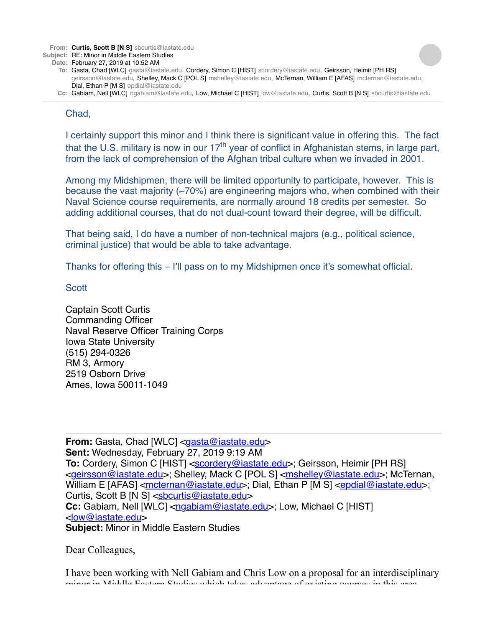**From: Curtis, Scott B [N S]** sbcurtis@iastate.edu

- **Subject:** RE: Minor in Middle Eastern Studies
	- **Date:** February 27, 2019 at 10:52 AM
		- **To:** Gasta, Chad [WLC] gasta@iastate.edu, Cordery, Simon C [HIST] scordery@iastate.edu, Geirsson, Heimir [PH RS] geirsson@iastate.edu, Shelley, Mack C [POL S] mshelley@iastate.edu, McTernan, William E [AFAS] mcternan@iastate.edu, Dial, Ethan P [M S] epdial@iastate.edu
		- **Cc:** Gabiam, Nell [WLC] ngabiam@iastate.edu, Low, Michael C [HIST] low@iastate.edu, Curtis, Scott B [N S] sbcurtis@iastate.edu

## Chad,

I certainly support this minor and I think there is significant value in offering this. The fact that the U.S. military is now in our  $17<sup>th</sup>$  year of conflict in Afghanistan stems, in large part, from the lack of comprehension of the Afghan tribal culture when we invaded in 2001.

Among my Midshipmen, there will be limited opportunity to participate, however. This is because the vast majority (~70%) are engineering majors who, when combined with their Naval Science course requirements, are normally around 18 credits per semester. So adding additional courses, that do not dual-count toward their degree, will be difficult.

That being said, I do have a number of non-technical majors (e.g., political science, criminal justice) that would be able to take advantage.

Thanks for offering this – I'll pass on to my Midshipmen once it's somewhat official.

**Scott** 

Captain Scott Curtis Commanding Officer Naval Reserve Officer Training Corps Iowa State University (515) 294-0326 RM 3, Armory 2519 Osborn Drive Ames, Iowa 50011-1049

**From:** Gasta, Chad [WLC] [<gasta@iastate.edu>](mailto:gasta@iastate.edu) **Sent:** Wednesday, February 27, 2019 9:19 AM **To:** Cordery, Simon C [HIST] [<scordery@iastate.edu>](mailto:scordery@iastate.edu); Geirsson, Heimir [PH RS] <[geirsson@iastate.edu](mailto:geirsson@iastate.edu)>; Shelley, Mack C [POL S] <[mshelley@iastate.edu](mailto:mshelley@iastate.edu)>; McTernan, William E [AFAS] <[mcternan@iastate.edu>](mailto:mcternan@iastate.edu); Dial, Ethan P [M S] <[epdial@iastate.edu>](mailto:epdial@iastate.edu); Curtis, Scott B [N S] <[sbcurtis@iastate.edu](mailto:sbcurtis@iastate.edu)> **Cc:** Gabiam, Nell [WLC] <[ngabiam@iastate.edu>](mailto:ngabiam@iastate.edu); Low, Michael C [HIST] <[low@iastate.edu>](mailto:low@iastate.edu) **Subject:** Minor in Middle Eastern Studies

Dear Colleagues,

I have been working with Nell Gabiam and Chris Low on a proposal for an interdisciplinary minor in Middle Eastern Studies which takes advantage of existing courses in this area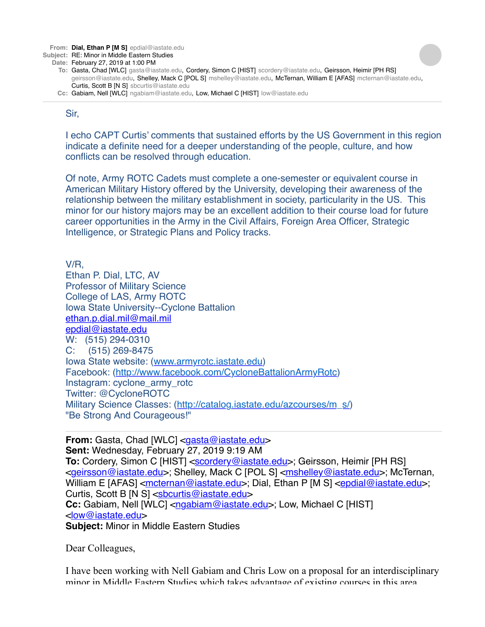**From: Dial, Ethan P [M S]** [epdial@iastate.edu](mailto:epdial@iastate.edu)

#### **Subject:** RE: Minor in Middle Eastern Studies

**Date:** February 27, 2019 at 1:00 PM

- **To:** Gasta, Chad [WLC] [gasta@iastate.edu,](mailto:gasta@iastate.edu) Cordery, Simon C [HIST] [scordery@iastate.edu](mailto:scordery@iastate.edu), Geirsson, Heimir [PH RS] [geirsson@iastate.edu,](mailto:geirsson@iastate.edu) Shelley, Mack C [POL S] [mshelley@iastate.edu](mailto:mshelley@iastate.edu), McTernan, William E [AFAS] [mcternan@iastate.edu,](mailto:mcternan@iastate.edu) Curtis, Scott B [N S] [sbcurtis@iastate.edu](mailto:sbcurtis@iastate.edu)
- **Cc:** Gabiam, Nell [WLC] [ngabiam@iastate.edu](mailto:ngabiam@iastate.edu), Low, Michael C [HIST] [low@iastate.edu](mailto:low@iastate.edu)

## Sir,

I echo CAPT Curtis' comments that sustained efforts by the US Government in this region indicate a definite need for a deeper understanding of the people, culture, and how conflicts can be resolved through education.

Of note, Army ROTC Cadets must complete a one-semester or equivalent course in American Military History offered by the University, developing their awareness of the relationship between the military establishment in society, particularity in the US. This minor for our history majors may be an excellent addition to their course load for future career opportunities in the Army in the Civil Affairs, Foreign Area Officer, Strategic Intelligence, or Strategic Plans and Policy tracks.

V/R, Ethan P. Dial, LTC, AV Professor of Military Science College of LAS, Army ROTC Iowa State University--Cyclone Battalion [ethan.p.dial.mil@mail.mil](mailto:ethan.p.dial.mil@mail.mil) [epdial@iastate.edu](mailto:epdial@iastate.edu) W: (515) 294-0310 C: (515) 269-8475 Iowa State website: [\(www.armyrotc.iastate.edu\)](http://www.armyrotc.iastate.edu/) Facebook: [\(http://www.facebook.com/CycloneBattalionArmyRotc\)](http://www.facebook.com/CycloneBattalionArmyRotc) Instagram: cyclone\_army\_rotc Twitter: @CycloneROTC Military Science Classes: ([http://catalog.iastate.edu/azcourses/m\\_s/\)](http://catalog.iastate.edu/azcourses/m_s/) "Be Strong And Courageous!"

**From:** Gasta, Chad [WLC] [<gasta@iastate.edu>](mailto:gasta@iastate.edu) **Sent:** Wednesday, February 27, 2019 9:19 AM **To:** Cordery, Simon C [HIST] [<scordery@iastate.edu>](mailto:scordery@iastate.edu); Geirsson, Heimir [PH RS] <[geirsson@iastate.edu](mailto:geirsson@iastate.edu)>; Shelley, Mack C [POL S] <[mshelley@iastate.edu](mailto:mshelley@iastate.edu)>; McTernan, William E [AFAS] < $met{mei}$  astate.edu>; Dial, Ethan P [M S] < $epdial@iastate.edu>$ ; Curtis, Scott B [N S] <[sbcurtis@iastate.edu](mailto:sbcurtis@iastate.edu)> **Cc:** Gabiam, Nell [WLC] <[ngabiam@iastate.edu>](mailto:ngabiam@iastate.edu); Low, Michael C [HIST] <[low@iastate.edu>](mailto:low@iastate.edu) **Subject:** Minor in Middle Eastern Studies

Dear Colleagues,

I have been working with Nell Gabiam and Chris Low on a proposal for an interdisciplinary minor in Middle Eastern Studies which takes advantage of existing courses in this area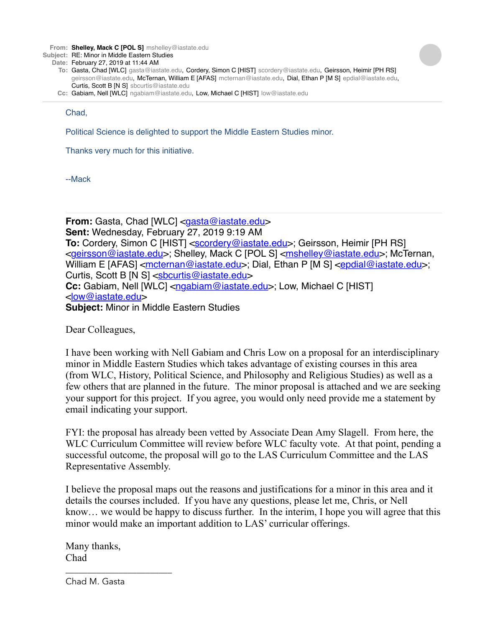**From: Shelley, Mack C [POL S]** mshelley@iastate.edu

**Subject:** RE: Minor in Middle Eastern Studies

- **Date:** February 27, 2019 at 11:44 AM
	- **To:** Gasta, Chad [WLC] gasta@iastate.edu, Cordery, Simon C [HIST] scordery@iastate.edu, Geirsson, Heimir [PH RS] geirsson@iastate.edu, McTernan, William E [AFAS] mcternan@iastate.edu, Dial, Ethan P [M S] epdial@iastate.edu, Curtis, Scott B [N S] sbcurtis@iastate.edu
	- **Cc:** Gabiam, Nell [WLC] ngabiam@iastate.edu, Low, Michael C [HIST] low@iastate.edu

Chad,

Political Science is delighted to support the Middle Eastern Studies minor.

Thanks very much for this initiative.

--Mack

**From:** Gasta, Chad [WLC] [<gasta@iastate.edu>](mailto:gasta@iastate.edu) **Sent:** Wednesday, February 27, 2019 9:19 AM **To:** Cordery, Simon C [HIST] [<scordery@iastate.edu>](mailto:scordery@iastate.edu); Geirsson, Heimir [PH RS] <[geirsson@iastate.edu](mailto:geirsson@iastate.edu)>; Shelley, Mack C [POL S] <[mshelley@iastate.edu](mailto:mshelley@iastate.edu)>; McTernan, William E [AFAS] < $met{mei}$  astate.edu>; Dial, Ethan P [M S] < $epdial@iastate.edu>$ ; Curtis, Scott B [N S] <[sbcurtis@iastate.edu](mailto:sbcurtis@iastate.edu)> **Cc:** Gabiam, Nell [WLC] <[ngabiam@iastate.edu>](mailto:ngabiam@iastate.edu); Low, Michael C [HIST] <[low@iastate.edu>](mailto:low@iastate.edu) **Subject:** Minor in Middle Eastern Studies

Dear Colleagues,

I have been working with Nell Gabiam and Chris Low on a proposal for an interdisciplinary minor in Middle Eastern Studies which takes advantage of existing courses in this area (from WLC, History, Political Science, and Philosophy and Religious Studies) as well as a few others that are planned in the future. The minor proposal is attached and we are seeking your support for this project. If you agree, you would only need provide me a statement by email indicating your support.

FYI: the proposal has already been vetted by Associate Dean Amy Slagell. From here, the WLC Curriculum Committee will review before WLC faculty vote. At that point, pending a successful outcome, the proposal will go to the LAS Curriculum Committee and the LAS Representative Assembly.

I believe the proposal maps out the reasons and justifications for a minor in this area and it details the courses included. If you have any questions, please let me, Chris, or Nell know… we would be happy to discuss further. In the interim, I hope you will agree that this minor would make an important addition to LAS' curricular offerings.

Many thanks, Chad

Chad M. Gasta

\_\_\_\_\_\_\_\_\_\_\_\_\_\_\_\_\_\_\_\_\_\_\_\_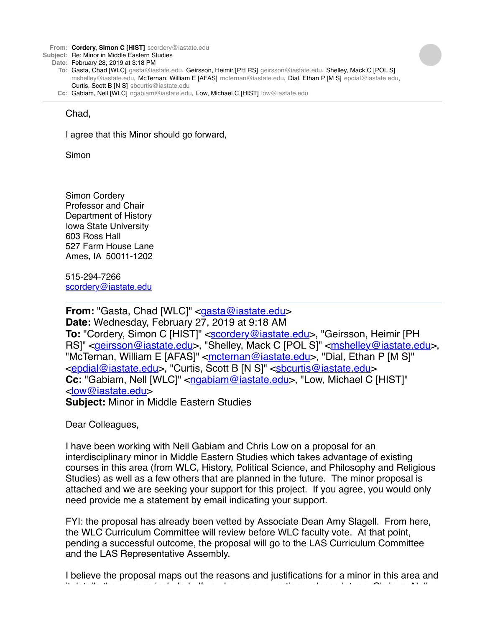**From: Cordery, Simon C [HIST]** scordery@iastate.edu

**Subject:** Re: Minor in Middle Eastern Studies

**Date:** February 28, 2019 at 3:18 PM

- **To:** Gasta, Chad [WLC] gasta@iastate.edu, Geirsson, Heimir [PH RS] geirsson@iastate.edu, Shelley, Mack C [POL S] mshelley@iastate.edu, McTernan, William E [AFAS] mcternan@iastate.edu, Dial, Ethan P [M S] epdial@iastate.edu, Curtis, Scott B [N S] sbcurtis@iastate.edu
- **Cc:** Gabiam, Nell [WLC] ngabiam@iastate.edu, Low, Michael C [HIST] low@iastate.edu

## Chad,

I agree that this Minor should go forward,

Simon

Simon Cordery Professor and Chair Department of History Iowa State University 603 Ross Hall 527 Farm House Lane Ames, IA 50011-1202

515-294-7266 [scordery@iastate.edu](mailto:scordery@iastate.edu)

**From:** "Gasta, Chad [WLC]" <[gasta@iastate.edu>](mailto:gasta@iastate.edu) **Date:** Wednesday, February 27, 2019 at 9:18 AM To: "Cordery, Simon C [HIST]" [<scordery@iastate.edu>](mailto:scordery@iastate.edu), "Geirsson, Heimir [PH RS]" <*[geirsson@iastate.edu>](mailto:geirsson@iastate.edu)*, "Shelley, Mack C [POL S]" <*[mshelley@iastate.edu>](mailto:mshelley@iastate.edu)*, "McTernan, William E [AFAS]" <[mcternan@iastate.edu>](mailto:mcternan@iastate.edu), "Dial, Ethan P [M S]" [<epdial@iastate.edu](mailto:epdial@iastate.edu)>, "Curtis, Scott B [N S]" <[sbcurtis@iastate.edu](mailto:sbcurtis@iastate.edu)> **Cc:** "Gabiam, Nell [WLC]" [<ngabiam@iastate.edu>](mailto:ngabiam@iastate.edu), "Low, Michael C [HIST]" [<low@iastate.edu](mailto:low@iastate.edu)> **Subject:** Minor in Middle Eastern Studies

Dear Colleagues,

I have been working with Nell Gabiam and Chris Low on a proposal for an interdisciplinary minor in Middle Eastern Studies which takes advantage of existing courses in this area (from WLC, History, Political Science, and Philosophy and Religious Studies) as well as a few others that are planned in the future. The minor proposal is attached and we are seeking your support for this project. If you agree, you would only need provide me a statement by email indicating your support.

FYI: the proposal has already been vetted by Associate Dean Amy Slagell. From here, the WLC Curriculum Committee will review before WLC faculty vote. At that point, pending a successful outcome, the proposal will go to the LAS Curriculum Committee and the LAS Representative Assembly.

I believe the proposal maps out the reasons and justifications for a minor in this area and it details the courses included. If you have any questions, please let me, Chris, or Nell